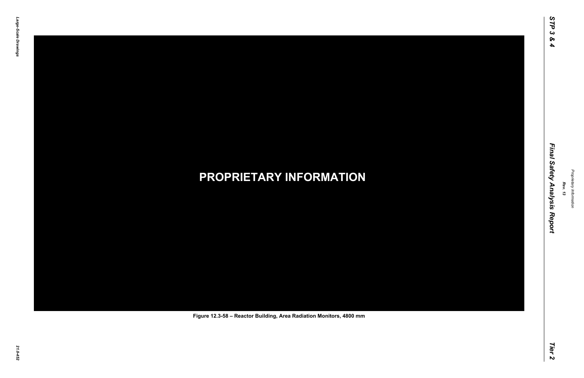# *21.0-452* **PROPRIETARY INFORMATION Figure 12.3-58 – Reactor Building, Area Radiation Monitors, 4800 mm**

*Rev. 13*

### *STP 3 & 4 Final Safety Analysis Report Tier 2* Final Safety Analysis Report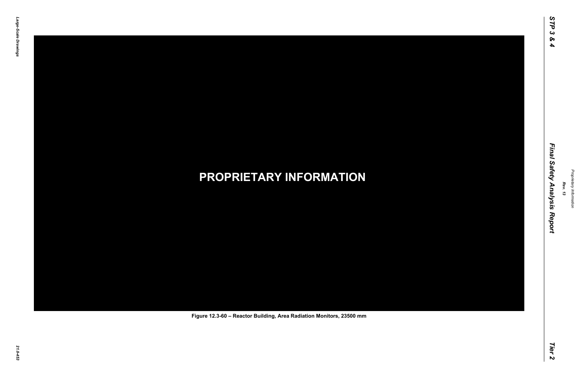# *21.0-453* **PROPRIETARY INFORMATION Figure 12.3-60 – Reactor Building, Area Radiation Monitors, 23500 mm**

*Rev. 13*

### *STP 3 & 4 Final Safety Analysis Report Tier 2* Final Safety Analysis Report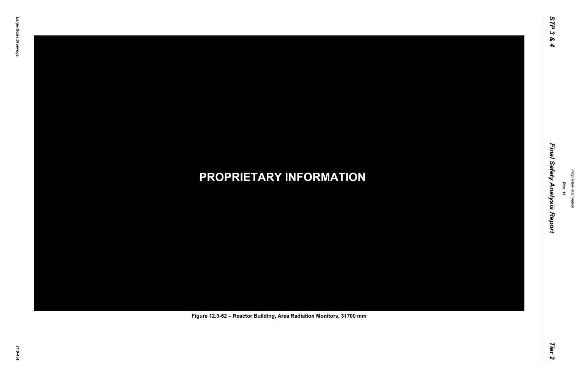# *21.0-454* **PROPRIETARY INFORMATION Figure 12.3-62 – Reactor Building, Area Radiation Monitors, 31700 mm**

*Rev. 13*

### *STP 3 & 4 Final Safety Analysis Report Tier 2* Final Safety Analysis Report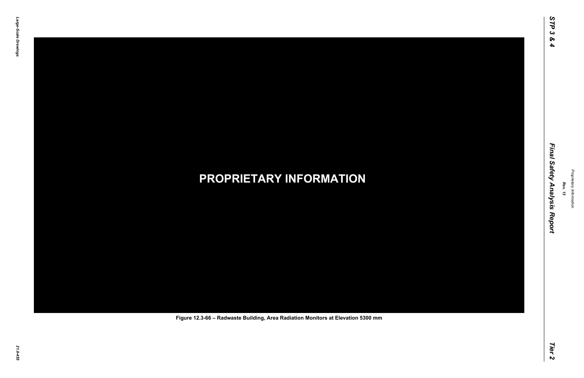# *21.0-455* **PROPRIETARY INFORMATION Figure 12.3-66 – Radwaste Building, Area Radiation Monitors at Elevation 5300 mm**

*Rev. 13*

### *STP 3 & 4 Final Safety Analysis Report Tier 2* Final Safety Analysis Report

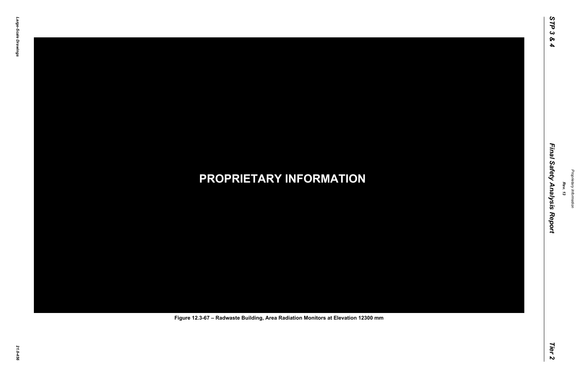# *21.0-456* **PROPRIETARY INFORMATION Figure 12.3-67 – Radwaste Building, Area Radiation Monitors at Elevation 12300 mm**

*Rev. 13*

### *STP 3 & 4 Final Safety Analysis Report Tier 2* Final Safety Analysis Report

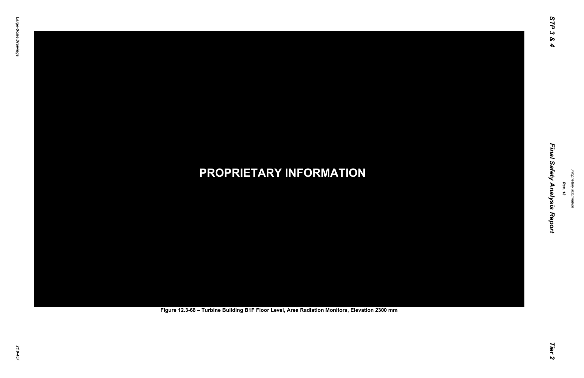# *21.0-457* **PROPRIETARY INFORMATION Figure 12.3-68 – Turbine Building B1F Floor Level, Area Radiation Monitors, Elevation 2300 mm**

*Rev. 13*

### *STP 3 & 4 Final Safety Analysis Report Tier 2* Final Safety Analysis Report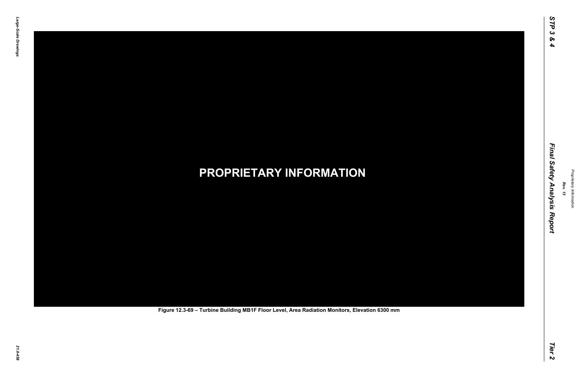# *21.0-458* **PROPRIETARY INFORMATION Figure 12.3-69 – Turbine Building MB1F Floor Level, Area Radiation Monitors, Elevation 6300 mm**

*Rev. 13*

### *STP 3 & 4 Final Safety Analysis Report Tier 2* Final Safety Analysis Report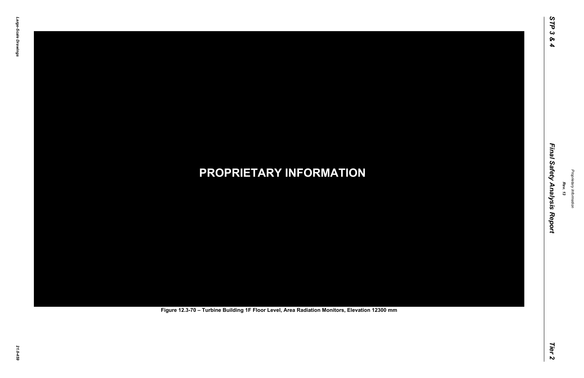# *21.0-459* **PROPRIETARY INFORMATION Figure 12.3-70 – Turbine Building 1F Floor Level, Area Radiation Monitors, Elevation 12300 mm**

*Rev. 13*

### *STP 3 & 4 Final Safety Analysis Report Tier 2* Final Safety Analysis Report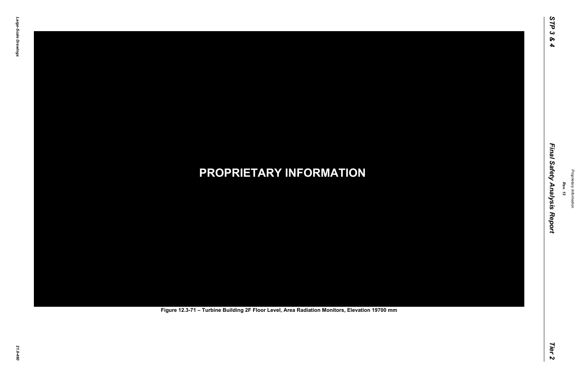# *21.0-460* **PROPRIETARY INFORMATION Figure 12.3-71 – Turbine Building 2F Floor Level, Area Radiation Monitors, Elevation 19700 mm**

*Rev. 13*

### *STP 3 & 4 Final Safety Analysis Report Tier 2* Final Safety Analysis Report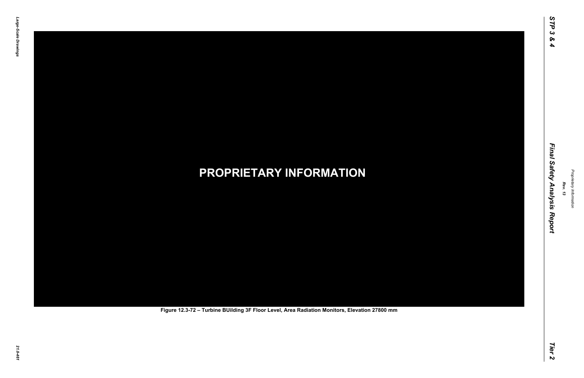# *21.0-461* **PROPRIETARY INFORMATION Figure 12.3-72 – Turbine BUilding 3F Floor Level, Area Radiation Monitors, Elevation 27800 mm**

*Rev. 13*

### *STP 3 & 4 Final Safety Analysis Report Tier 2* Final Safety Analysis Report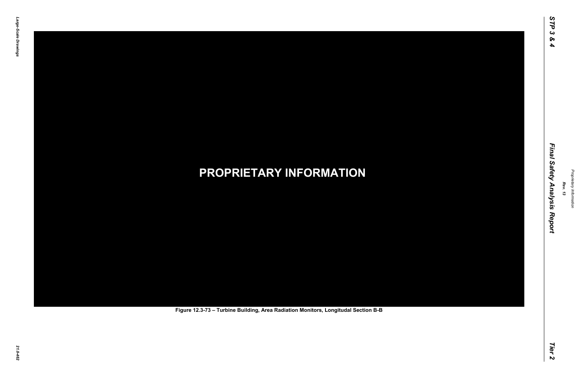# *21.0-462* **PROPRIETARY INFORMATION Figure 12.3-73 – Turbine Building, Area Radiation Monitors, Longitudal Section B-B**

*Rev. 13*

### *STP 3 & 4 Final Safety Analysis Report Tier 2* Final Safety Analysis Report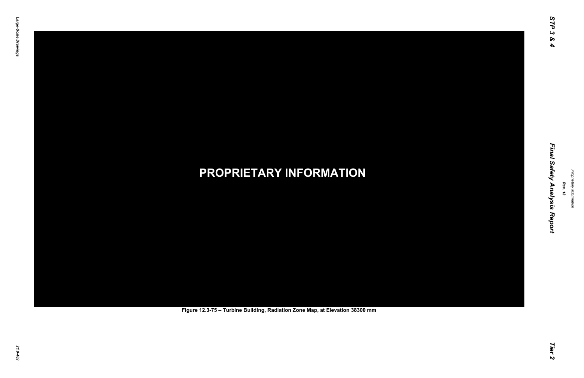# *21.0-463* **PROPRIETARY INFORMATION Figure 12.3-75 – Turbine Building, Radiation Zone Map, at Elevation 38300 mm**

*Rev. 13*

### *STP 3 & 4 Final Safety Analysis Report Tier 2* Final Safety Analysis Report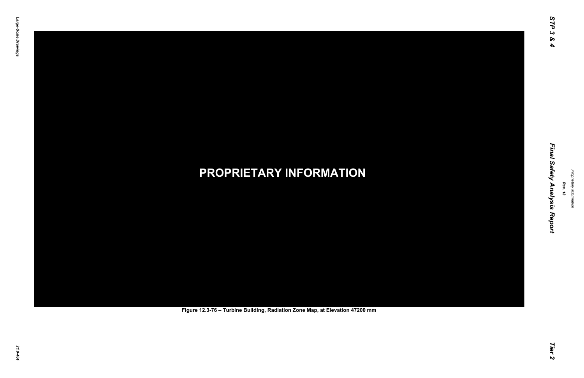# *21.0-464* **PROPRIETARY INFORMATION Figure 12.3-76 – Turbine Building, Radiation Zone Map, at Elevation 47200 mm**

*Rev. 13*

### *STP 3 & 4 Final Safety Analysis Report Tier 2* Final Safety Analysis Report